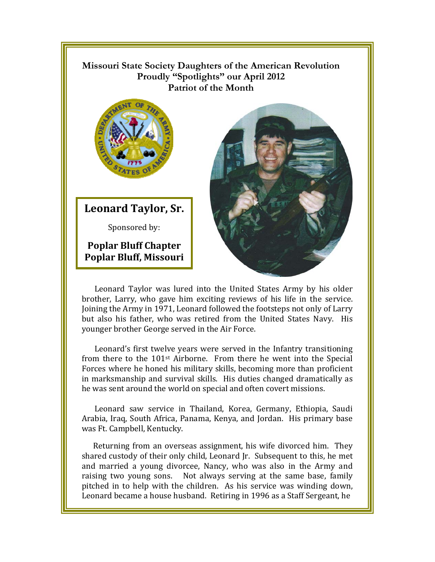## **Missouri State Society Daughters of the American Revolution**  Proudly "Spotlights" our April 2012 **Patriot of the Month**



**Leonard Taylor, Sr.**

Sponsored by:

**Poplar Bluff Chapter Poplar Bluff, Missouri** 



brother, Larry, who gave him exciting reviews of his life in the service. Joining the Army in 1971, Leonard followed the footsteps not only of Larry but also his father, who was retired from the United States Navy. His younger brother George served in the Air Force.

Leonard's first twelve years were served in the Infantry transitioning from there to the 101<sup>st</sup> Airborne. From there he went into the Special Forces where he honed his military skills, becoming more than proficient in marksmanship and survival skills. His duties changed dramatically as he was sent around the world on special and often covert missions.

Leonard saw service in Thailand, Korea, Germany, Ethiopia, Saudi Arabia, Iraq, South Africa, Panama, Kenya, and Jordan. His primary base was Ft. Campbell, Kentucky.

Returning from an overseas assignment, his wife divorced him. They shared custody of their only child, Leonard Jr. Subsequent to this, he met and married a young divorcee, Nancy, who was also in the Army and raising two young sons. Not always serving at the same base, family pitched in to help with the children. As his service was winding down, Leonard became a house husband. Retiring in 1996 as a Staff Sergeant, he